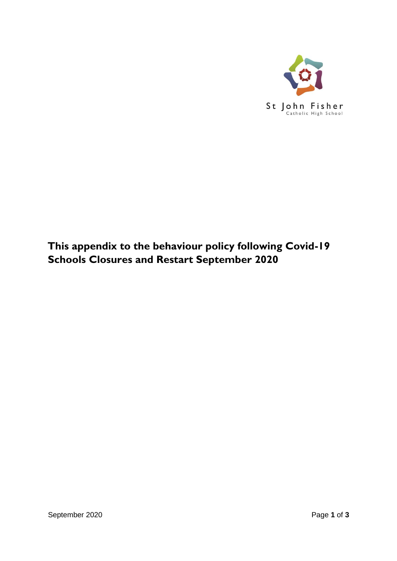

# **This appendix to the behaviour policy following Covid-19 Schools Closures and Restart September 2020**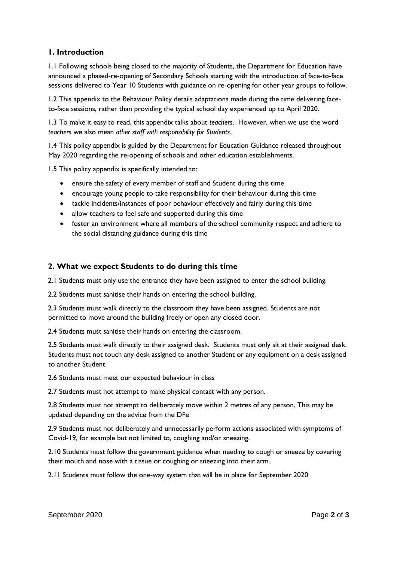## **1. Introduction**

1.1 Following schools being closed to the majority of Students, the Department for Education have announced a phased-re-opening of Secondary Schools starting with the introduction of face-to-face sessions delivered to Year 10 Students with guidance on re-opening for other year groups to follow.

1.2 This appendix to the Behaviour Policy details adaptations made during the time delivering faceto-face sessions, rather than providing the typical school day experienced up to April 2020.

1.3 To make it easy to read, this appendix talks about *teachers*. However, when we use the word *teachers* we also mean *other staff with responsibility for Students.*

1.4 This policy appendix is guided by the Department for Education Guidance released throughout May 2020 regarding the re-opening of schools and other education establishments.

1.5 This policy appendix is specifically intended to:

- ensure the safety of every member of staff and Student during this time
- encourage young people to take responsibility for their behaviour during this time
- tackle incidents/instances of poor behaviour effectively and fairly during this time
- allow teachers to feel safe and supported during this time
- foster an environment where all members of the school community respect and adhere to the social distancing guidance during this time

## **2. What we expect Students to do during this time**

2.1 Students must only use the entrance they have been assigned to enter the school building.

2.2 Students must sanitise their hands on entering the school building.

2.3 Students must walk directly to the classroom they have been assigned. Students are not permitted to move around the building freely or open any closed door.

2.4 Students must sanitise their hands on entering the classroom.

2.5 Students must walk directly to their assigned desk. Students must only sit at their assigned desk. Students must not touch any desk assigned to another Student or any equipment on a desk assigned to another Student.

2.6 Students must meet our expected behaviour in class

2.7 Students must not attempt to make physical contact with any person.

2.8 Students must not attempt to deliberately move within 2 metres of any person. This may be updated depending on the advice from the DFe

2.9 Students must not deliberately and unnecessarily perform actions associated with symptoms of Covid-19, for example but not limited to, coughing and/or sneezing.

2.10 Students must follow the government guidance when needing to cough or sneeze by covering their mouth and nose with a tissue or coughing or sneezing into their arm.

2.11 Students must follow the one-way system that will be in place for September 2020